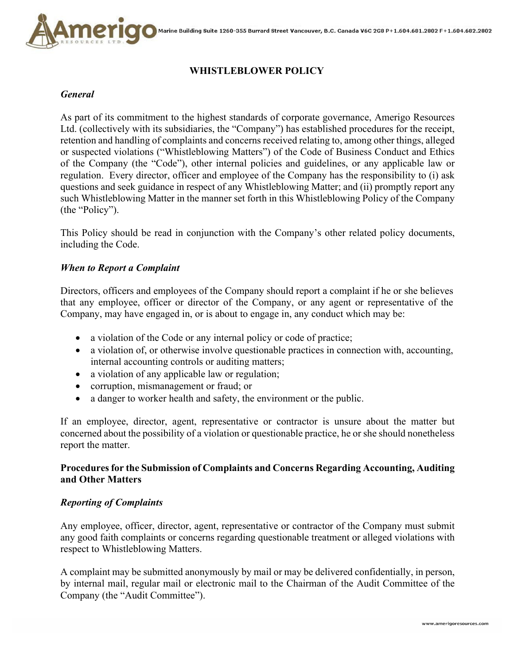

# **WHISTLEBLOWER POLICY**

#### *General*

As part of its commitment to the highest standards of corporate governance, Amerigo Resources Ltd. (collectively with its subsidiaries, the "Company") has established procedures for the receipt, retention and handling of complaints and concerns received relating to, among other things, alleged or suspected violations ("Whistleblowing Matters") of the Code of Business Conduct and Ethics of the Company (the "Code"), other internal policies and guidelines, or any applicable law or regulation. Every director, officer and employee of the Company has the responsibility to (i) ask questions and seek guidance in respect of any Whistleblowing Matter; and (ii) promptly report any such Whistleblowing Matter in the manner set forth in this Whistleblowing Policy of the Company (the "Policy").

This Policy should be read in conjunction with the Company's other related policy documents, including the Code.

### *When to Report a Complaint*

Directors, officers and employees of the Company should report a complaint if he or she believes that any employee, officer or director of the Company, or any agent or representative of the Company, may have engaged in, or is about to engage in, any conduct which may be:

- a violation of the Code or any internal policy or code of practice;
- a violation of, or otherwise involve questionable practices in connection with, accounting, internal accounting controls or auditing matters;
- a violation of any applicable law or regulation;
- corruption, mismanagement or fraud; or
- a danger to worker health and safety, the environment or the public.

If an employee, director, agent, representative or contractor is unsure about the matter but concerned about the possibility of a violation or questionable practice, he or she should nonetheless report the matter.

## **Procedures for the Submission of Complaints and Concerns Regarding Accounting, Auditing and Other Matters**

#### *Reporting of Complaints*

Any employee, officer, director, agent, representative or contractor of the Company must submit any good faith complaints or concerns regarding questionable treatment or alleged violations with respect to Whistleblowing Matters.

A complaint may be submitted anonymously by mail or may be delivered confidentially, in person, by internal mail, regular mail or electronic mail to the Chairman of the Audit Committee of the Company (the "Audit Committee").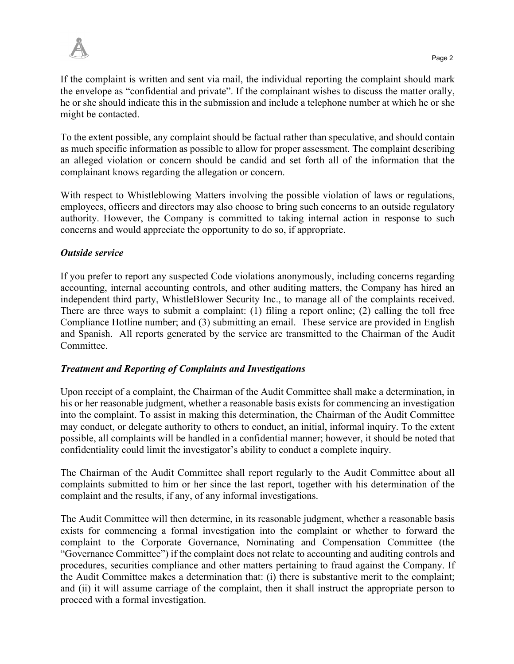

If the complaint is written and sent via mail, the individual reporting the complaint should mark the envelope as "confidential and private". If the complainant wishes to discuss the matter orally, he or she should indicate this in the submission and include a telephone number at which he or she might be contacted.

To the extent possible, any complaint should be factual rather than speculative, and should contain as much specific information as possible to allow for proper assessment. The complaint describing an alleged violation or concern should be candid and set forth all of the information that the complainant knows regarding the allegation or concern.

With respect to Whistleblowing Matters involving the possible violation of laws or regulations, employees, officers and directors may also choose to bring such concerns to an outside regulatory authority. However, the Company is committed to taking internal action in response to such concerns and would appreciate the opportunity to do so, if appropriate.

## *Outside service*

If you prefer to report any suspected Code violations anonymously, including concerns regarding accounting, internal accounting controls, and other auditing matters, the Company has hired an independent third party, WhistleBlower Security Inc., to manage all of the complaints received. There are three ways to submit a complaint: (1) filing a report online; (2) calling the toll free Compliance Hotline number; and (3) submitting an email. These service are provided in English and Spanish. All reports generated by the service are transmitted to the Chairman of the Audit Committee.

## *Treatment and Reporting of Complaints and Investigations*

Upon receipt of a complaint, the Chairman of the Audit Committee shall make a determination, in his or her reasonable judgment, whether a reasonable basis exists for commencing an investigation into the complaint. To assist in making this determination, the Chairman of the Audit Committee may conduct, or delegate authority to others to conduct, an initial, informal inquiry. To the extent possible, all complaints will be handled in a confidential manner; however, it should be noted that confidentiality could limit the investigator's ability to conduct a complete inquiry.

The Chairman of the Audit Committee shall report regularly to the Audit Committee about all complaints submitted to him or her since the last report, together with his determination of the complaint and the results, if any, of any informal investigations.

The Audit Committee will then determine, in its reasonable judgment, whether a reasonable basis exists for commencing a formal investigation into the complaint or whether to forward the complaint to the Corporate Governance, Nominating and Compensation Committee (the "Governance Committee") if the complaint does not relate to accounting and auditing controls and procedures, securities compliance and other matters pertaining to fraud against the Company. If the Audit Committee makes a determination that: (i) there is substantive merit to the complaint; and (ii) it will assume carriage of the complaint, then it shall instruct the appropriate person to proceed with a formal investigation.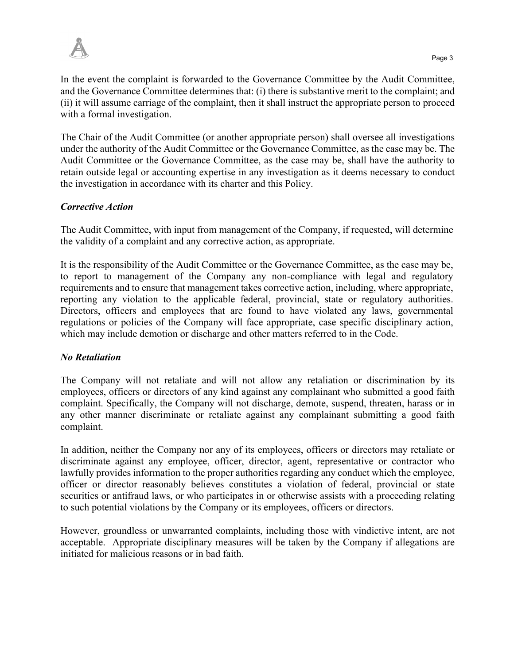

In the event the complaint is forwarded to the Governance Committee by the Audit Committee, and the Governance Committee determines that: (i) there is substantive merit to the complaint; and (ii) it will assume carriage of the complaint, then it shall instruct the appropriate person to proceed with a formal investigation.

The Chair of the Audit Committee (or another appropriate person) shall oversee all investigations under the authority of the Audit Committee or the Governance Committee, as the case may be. The Audit Committee or the Governance Committee, as the case may be, shall have the authority to retain outside legal or accounting expertise in any investigation as it deems necessary to conduct the investigation in accordance with its charter and this Policy.

### *Corrective Action*

The Audit Committee, with input from management of the Company, if requested, will determine the validity of a complaint and any corrective action, as appropriate.

It is the responsibility of the Audit Committee or the Governance Committee, as the case may be, to report to management of the Company any non-compliance with legal and regulatory requirements and to ensure that management takes corrective action, including, where appropriate, reporting any violation to the applicable federal, provincial, state or regulatory authorities. Directors, officers and employees that are found to have violated any laws, governmental regulations or policies of the Company will face appropriate, case specific disciplinary action, which may include demotion or discharge and other matters referred to in the Code.

### *No Retaliation*

The Company will not retaliate and will not allow any retaliation or discrimination by its employees, officers or directors of any kind against any complainant who submitted a good faith complaint. Specifically, the Company will not discharge, demote, suspend, threaten, harass or in any other manner discriminate or retaliate against any complainant submitting a good faith complaint.

In addition, neither the Company nor any of its employees, officers or directors may retaliate or discriminate against any employee, officer, director, agent, representative or contractor who lawfully provides information to the proper authorities regarding any conduct which the employee, officer or director reasonably believes constitutes a violation of federal, provincial or state securities or antifraud laws, or who participates in or otherwise assists with a proceeding relating to such potential violations by the Company or its employees, officers or directors.

However, groundless or unwarranted complaints, including those with vindictive intent, are not acceptable. Appropriate disciplinary measures will be taken by the Company if allegations are initiated for malicious reasons or in bad faith.